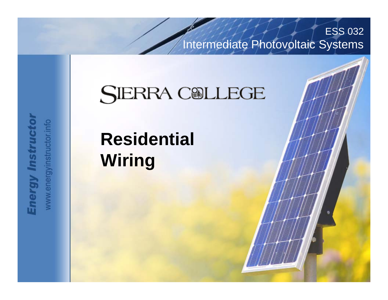Intermediate Photovoltaic Systems

ESS 032

## **SIERRA COLLEGE**

Advanced Photovoltaic Systems

# **Residential Wiring**

**Energy Instructor** www.energyinstructor.info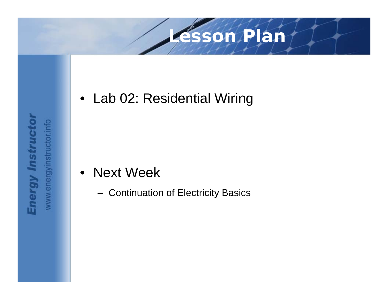### **Lesson Plan**

• Lab 02: Residential Wiring

- Next Week
	- Continuation of Electricity Basics

**Energy Instructor** www.energyinstructor.info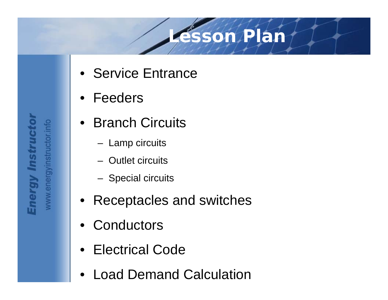### **Lesson Plan**

- Service Entrance
- Feeders
- Branch Circuits
	- Lamp circuits
	- Outlet circuits
	- Special circuits
- Receptacles and switches
- **Conductors**
- Electrical Code
- Load Demand Calculation

www.energyinstructor.info **Energy Instruct**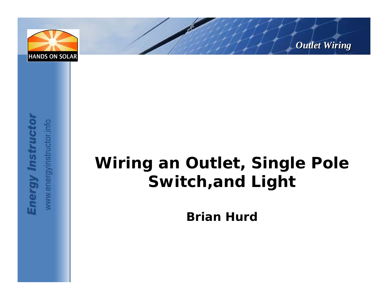





## **Wiring an Outlet, Single Pole Switch,and Light**

**Brian Hurd**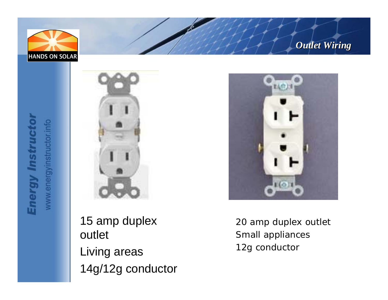







15 amp duplex outlet Living areas 14g/12g conductor



20 amp duplex outlet Small appliances 12g conductor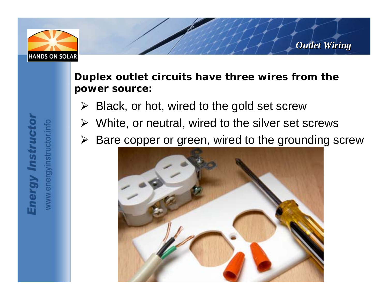

**Duplex outlet circuits have three wires from the power source:**

- $\triangleright$  Black, or hot, wired to the gold set screw
- $\triangleright$  White, or neutral, wired to the silver set screws
- $\triangleright$  Bare copper or green, wired to the grounding screw

*Outlet Wiring Outlet Wiring*

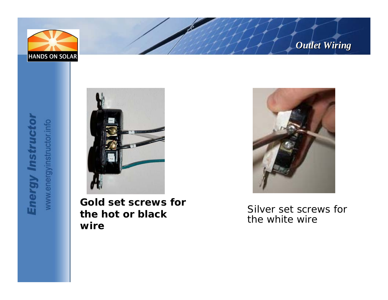





**Gold set screws for the hot or black wire**



Silver set screws for the white wire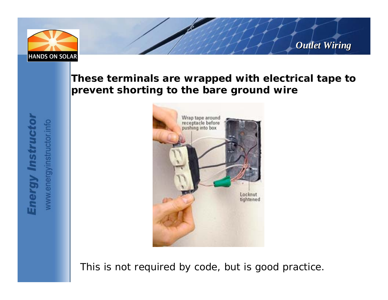

#### **These terminals are wrapped with electrical tape to prevent shorting to the bare ground wire**



This is not required by code, but is good practice.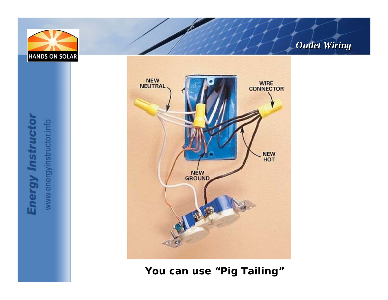

#### *Outlet Wiring Outlet Wiring*

**Energy Instructor** www.energyinstructor.info



**You can use "Pig Tailing"**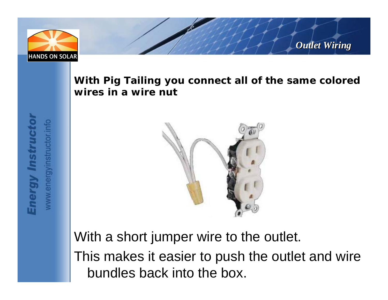

**With Pig Tailing you connect all of the same colored wires in a wire nut**

*Outlet Wiring Outlet Wiring*



With a short jumper wire to the outlet.

This makes it easier to push the outlet and wire bundles back into the box.

www.energyinstructor.info **Energy Instruct**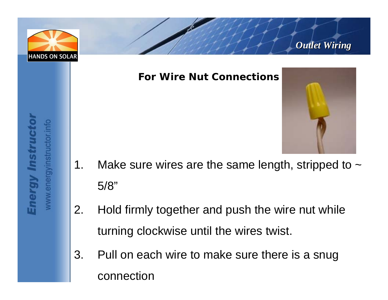



#### **For Wire Nut Connections**



- 1. Make sure wires are the same length, stripped to  $\sim$ 5/8"
- 2. Hold firmly together and push the wire nut while turning clockwise until the wires twist.
- 3. Pull on each wire to make sure there is a snug connection